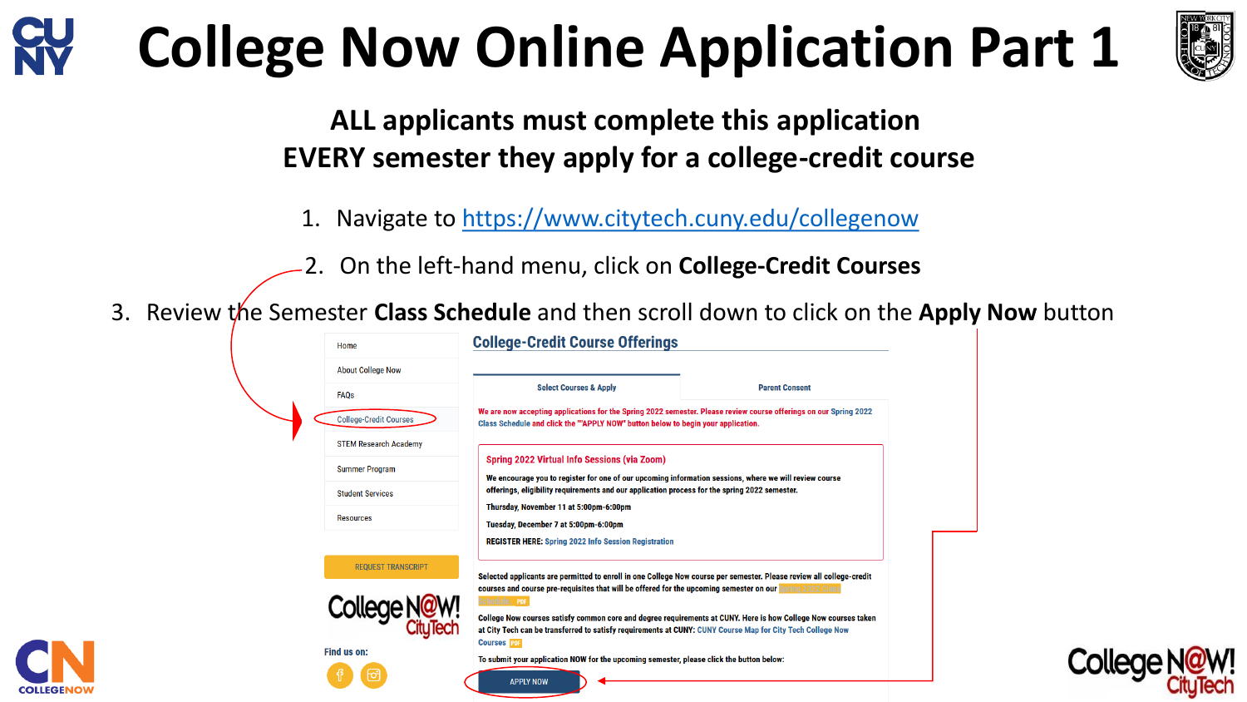# **College Now Online Application Part 1**



**ALL applicants must complete this application EVERY semester they apply for a college-credit course**

- 1. Navigate to <https://www.citytech.cuny.edu/collegenow>
- 2. On the left-hand menu, click on **College-Credit Courses**
- 3. Review the Semester **Class Schedule** and then scroll down to click on the **Apply Now** button

|  | Home                          | <b>College-Credit Course Offerings</b>                                                                                                                                                                                                                  |  |                       |  |  |
|--|-------------------------------|---------------------------------------------------------------------------------------------------------------------------------------------------------------------------------------------------------------------------------------------------------|--|-----------------------|--|--|
|  | <b>About College Now</b>      |                                                                                                                                                                                                                                                         |  |                       |  |  |
|  | <b>FAQs</b>                   | <b>Select Courses &amp; Apply</b>                                                                                                                                                                                                                       |  | <b>Parent Consent</b> |  |  |
|  | <b>College-Credit Courses</b> | We are now accepting applications for the Spring 2022 semester. Please review course offerings on our Spring 2022<br>Class Schedule and click the ""APPLY NOW" button below to begin your application.                                                  |  |                       |  |  |
|  | <b>STEM Research Academy</b>  |                                                                                                                                                                                                                                                         |  |                       |  |  |
|  | <b>Summer Program</b>         | Spring 2022 Virtual Info Sessions (via Zoom)<br>We encourage you to register for one of our upcoming information sessions, where we will review course<br>offerings, eligibility requirements and our application process for the spring 2022 semester. |  |                       |  |  |
|  | <b>Student Services</b>       |                                                                                                                                                                                                                                                         |  |                       |  |  |
|  | <b>Resources</b>              | Thursday, November 11 at 5:00pm-6:00pm<br>Tuesday, December 7 at 5:00pm-6:00pm                                                                                                                                                                          |  |                       |  |  |
|  |                               | <b>REGISTER HERE: Spring 2022 Info Session Registration</b>                                                                                                                                                                                             |  |                       |  |  |
|  | <b>REQUEST TRANSCRIPT</b>     | Selected applicants are permitted to enroll in one College Now course per semester. Please review all college-credit                                                                                                                                    |  |                       |  |  |
|  |                               | courses and course pre-requisites that will be offered for the upcoming semester on our Spring 2022 Class<br>Schedule. PDF                                                                                                                              |  |                       |  |  |
|  | Colle                         | College Now courses satisfy common core and degree requirements at CUNY. Here is how College Now courses taken<br>at City Tech can be transferred to satisfy requirements at CUNY: CUNY Course Map for City Tech College Now<br><b>Courses</b> PDF      |  |                       |  |  |
|  | Find us on:                   | To submit your application NOW for the upcoming semester, please click the button below:                                                                                                                                                                |  |                       |  |  |
|  |                               | <b>APPLY NOW</b>                                                                                                                                                                                                                                        |  |                       |  |  |

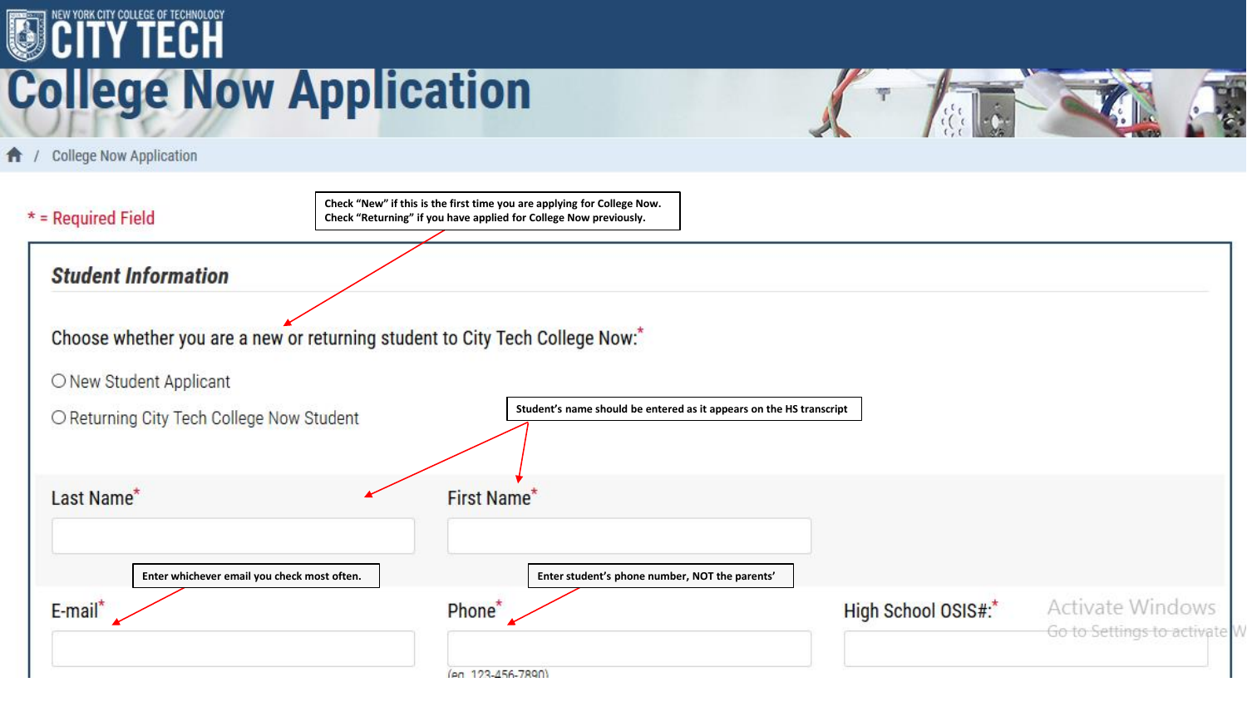## **OCITY TECH College Now Application**

College Now Application **f** /

| $*$ = Required Field                        | Check "New" if this is the first time you are applying for College Now.<br>Check "Returning" if you have applied for College Now previously. |                     |                                                       |
|---------------------------------------------|----------------------------------------------------------------------------------------------------------------------------------------------|---------------------|-------------------------------------------------------|
| <b>Student Information</b>                  |                                                                                                                                              |                     |                                                       |
|                                             | Choose whether you are a new or returning student to City Tech College Now:"                                                                 |                     |                                                       |
| O New Student Applicant                     |                                                                                                                                              |                     |                                                       |
| O Returning City Tech College Now Student   | Student's name should be entered as it appears on the HS transcript                                                                          |                     |                                                       |
| Last Name*                                  | First Name*                                                                                                                                  |                     |                                                       |
| Enter whichever email you check most often. | Enter student's phone number, NOT the parents'                                                                                               |                     |                                                       |
| E-mail*                                     | Phone <sup>*</sup>                                                                                                                           | High School OSIS#:* | <b>Activate Windows</b><br>Go to Settings to activate |
|                                             | (en 123-456-7890)                                                                                                                            |                     |                                                       |

T

 $\mathcal{O}(\mathcal{O})$ 

 $\overline{\mathcal{T}}$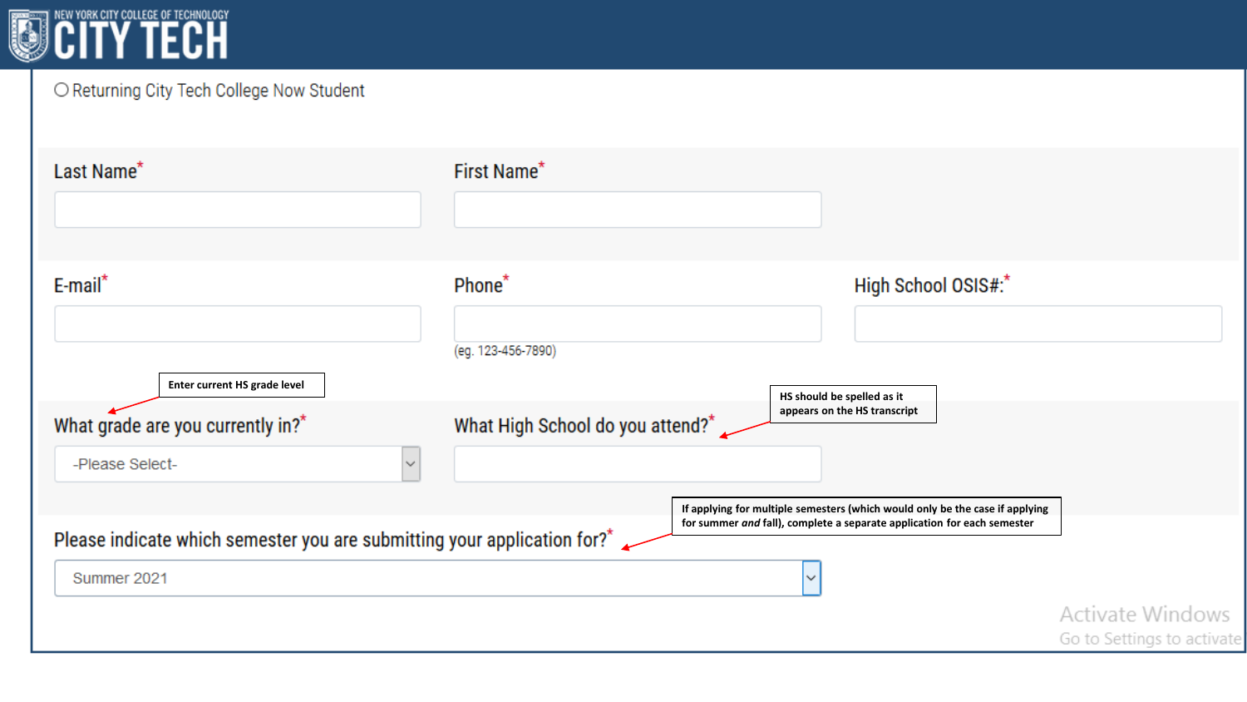

#### O Returning City Tech College Now Student

| Last Name <sup>*</sup>                                                                              | First Name*                                  |                                                                                                                                            |                                                |
|-----------------------------------------------------------------------------------------------------|----------------------------------------------|--------------------------------------------------------------------------------------------------------------------------------------------|------------------------------------------------|
| E-mail*<br>Enter current HS grade level                                                             | Phone <sup>*</sup><br>(eg. 123-456-7890)     | High School OSIS#:*                                                                                                                        |                                                |
| What grade are you currently in?*<br>-Please Select-<br>$\checkmark$                                | What High School do you attend? <sup>*</sup> | HS should be spelled as it<br>appears on the HS transcript<br>If applying for multiple semesters (which would only be the case if applying |                                                |
| Please indicate which semester you are submitting your application for? <sup>*</sup><br>Summer 2021 |                                              | for summer and fall), complete a separate application for each semester<br>$\check{ }$                                                     | Activate Windows<br>Go to Settings to activate |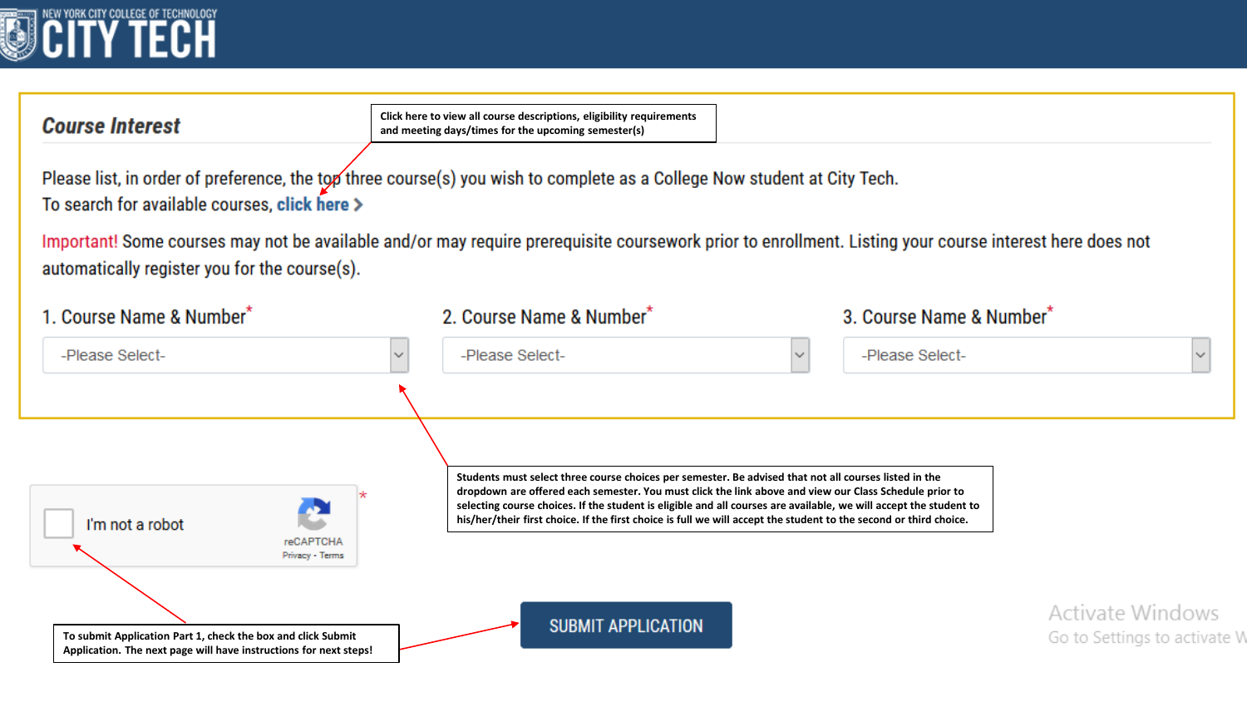

#### **Course Interest**

**Click here to view all course descriptions, eligibility requirements and meeting days/times for the upcoming semester(s)**

Please list, in order of preference, the top three course(s) you wish to complete as a College Now student at City Tech. To search for available courses, click here >

Important! Some courses may not be available and/or may require prerequisite coursework prior to enrollment. Listing your course interest here does not automatically register you for the course(s).

| 1. Course Name & Number <sup>*</sup>                                                                                              | 2. Course Name & Number*                                                                                                                                                                                                                                                                                                                                                                                                                                  | 3. Course Name & Number*                         |
|-----------------------------------------------------------------------------------------------------------------------------------|-----------------------------------------------------------------------------------------------------------------------------------------------------------------------------------------------------------------------------------------------------------------------------------------------------------------------------------------------------------------------------------------------------------------------------------------------------------|--------------------------------------------------|
| -Please Select-                                                                                                                   | -Please Select-<br>$\sim$                                                                                                                                                                                                                                                                                                                                                                                                                                 | -Please Select-<br>$\sim$                        |
|                                                                                                                                   |                                                                                                                                                                                                                                                                                                                                                                                                                                                           |                                                  |
| I'm not a robot<br><b>reCAPTCHA</b><br>Privacy - Terms                                                                            | Students must select three course choices per semester. Be advised that not all courses listed in the<br>dropdown are offered each semester. You must click the link above and view our Class Schedule prior to<br>selecting course choices. If the student is eligible and all courses are available, we will accept the student to<br>his/her/their first choice. If the first choice is full we will accept the student to the second or third choice. |                                                  |
| To submit Application Part 1, check the box and click Submit<br>Application. The next page will have instructions for next steps! | <b>SUBMIT APPLICATION</b>                                                                                                                                                                                                                                                                                                                                                                                                                                 | Activate Windows<br>Go to Settings to activate V |